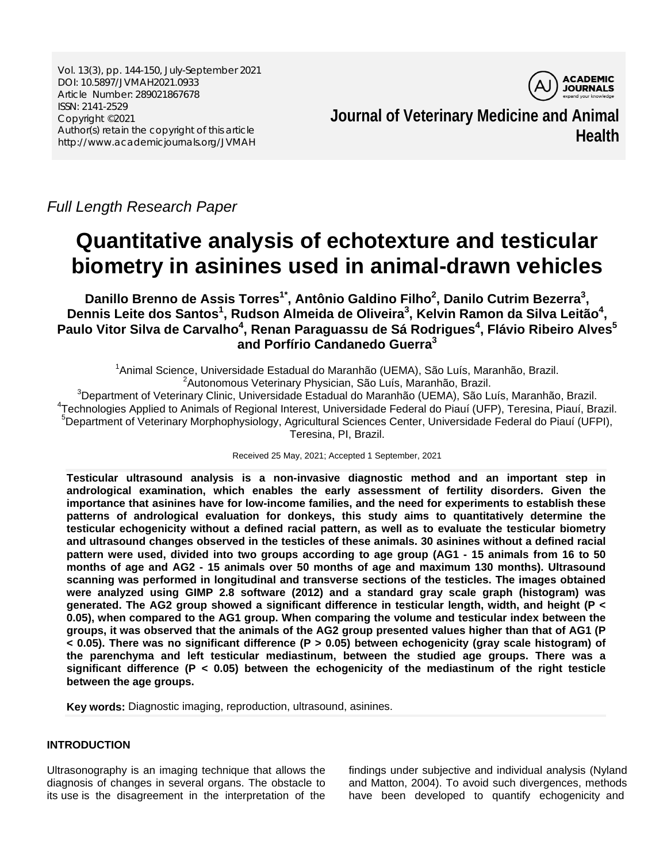Vol. 13(3), pp. 144-150, July-September 2021 DOI: 10.5897/JVMAH2021.0933 Article Number: 289021867678 ISSN: 2141-2529 Copyright ©2021 Author(s) retain the copyright of this article http://www.academicjournals.org/JVMAH



**Journal of Veterinary Medicine and Animal Health**

*Full Length Research Paper*

# **Quantitative analysis of echotexture and testicular biometry in asinines used in animal-drawn vehicles**

Danillo Brenno de Assis Torres<sup>1\*</sup>, Antônio Galdino Filho<sup>2</sup>, Danilo Cutrim Bezerra<sup>3</sup>, Dennis Leite dos Santos<sup>1</sup>, Rudson Almeida de Oliveira<sup>3</sup>, Kelvin Ramon da Silva Leitão<sup>4</sup>, Paulo Vitor Silva de Carvalho<sup>4</sup>, Renan Paraguassu de Sá Rodrigues<sup>4</sup>, Flávio Ribeiro Alves<sup>5</sup> **and Porfírio Candanedo Guerra3**

<sup>1</sup>Animal Science, Universidade Estadual do Maranhão (UEMA), São Luís, Maranhão, Brazil. <sup>2</sup> Autonomous Veterinary Physician, São Luís, Maranhão, Brazil.<br><sup>3</sup> Department of Veterinary Clinia, Universidade Estadual de Maranhão (UEMA), São L

 ${}^{3}$ Department of Veterinary Clinic, Universidade Estadual do Maranhão (UEMA), São Luís, Maranhão, Brazil. <sup>4</sup>Technologies Applied to Animals of Regional Interest, Universidade Federal do Piauí (UFP), Teresina, Piauí, Brazil. <sup>5</sup>Department of Veterinary Morphophysiology, Agricultural Sciences Center, Universidade Federal do Piauí (UFPI), Teresina, PI, Brazil.

Received 25 May, 2021; Accepted 1 September, 2021

**Testicular ultrasound analysis is a non-invasive diagnostic method and an important step in andrological examination, which enables the early assessment of fertility disorders. Given the importance that asinines have for low-income families, and the need for experiments to establish these patterns of andrological evaluation for donkeys, this study aims to quantitatively determine the testicular echogenicity without a defined racial pattern, as well as to evaluate the testicular biometry and ultrasound changes observed in the testicles of these animals. 30 asinines without a defined racial pattern were used, divided into two groups according to age group (AG1 - 15 animals from 16 to 50 months of age and AG2 - 15 animals over 50 months of age and maximum 130 months). Ultrasound scanning was performed in longitudinal and transverse sections of the testicles. The images obtained were analyzed using GIMP 2.8 software (2012) and a standard gray scale graph (histogram) was generated. The AG2 group showed a significant difference in testicular length, width, and height (P < 0.05), when compared to the AG1 group. When comparing the volume and testicular index between the groups, it was observed that the animals of the AG2 group presented values higher than that of AG1 (P < 0.05). There was no significant difference (P > 0.05) between echogenicity (gray scale histogram) of the parenchyma and left testicular mediastinum, between the studied age groups. There was a significant difference (P < 0.05) between the echogenicity of the mediastinum of the right testicle between the age groups.** 

**Key words:** Diagnostic imaging, reproduction, ultrasound, asinines.

# **INTRODUCTION**

Ultrasonography is an imaging technique that allows the diagnosis of changes in several organs. The obstacle to its use is the disagreement in the interpretation of the

findings under subjective and individual analysis (Nyland and Matton, 2004). To avoid such divergences, methods have been developed to quantify echogenicity and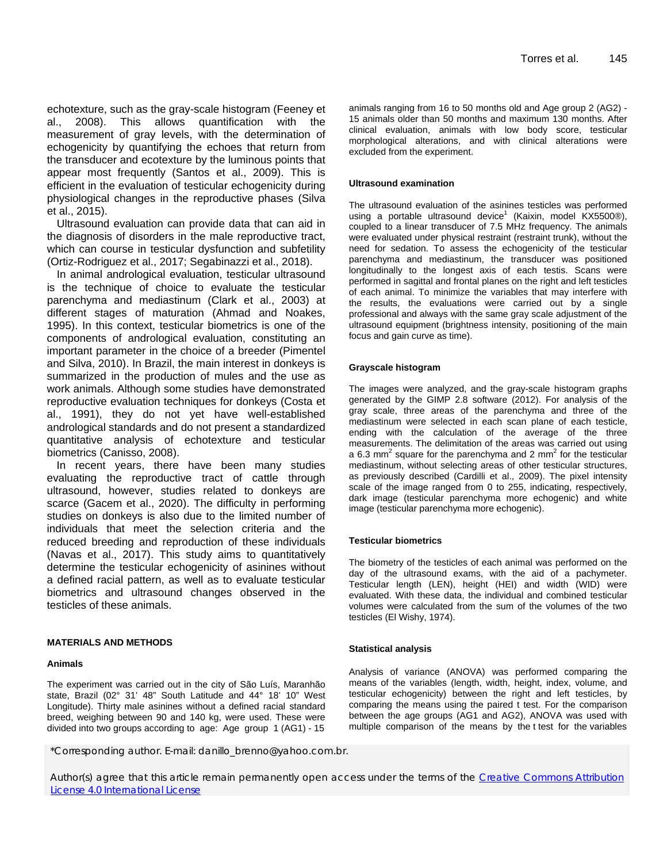echotexture, such as the gray-scale histogram (Feeney et al., 2008). This allows quantification with the measurement of gray levels, with the determination of echogenicity by quantifying the echoes that return from the transducer and ecotexture by the luminous points that appear most frequently (Santos et al., 2009). This is efficient in the evaluation of testicular echogenicity during physiological changes in the reproductive phases (Silva et al., 2015).

Ultrasound evaluation can provide data that can aid in the diagnosis of disorders in the male reproductive tract, which can course in testicular dysfunction and subfetility (Ortiz-Rodriguez et al., 2017; Segabinazzi et al., 2018).

In animal andrological evaluation, testicular ultrasound is the technique of choice to evaluate the testicular parenchyma and mediastinum (Clark et al., 2003) at different stages of maturation (Ahmad and Noakes, 1995). In this context, testicular biometrics is one of the components of andrological evaluation, constituting an important parameter in the choice of a breeder (Pimentel and Silva, 2010). In Brazil, the main interest in donkeys is summarized in the production of mules and the use as work animals. Although some studies have demonstrated reproductive evaluation techniques for donkeys (Costa et al., 1991), they do not yet have well-established andrological standards and do not present a standardized quantitative analysis of echotexture and testicular biometrics (Canisso, 2008).

In recent years, there have been many studies evaluating the reproductive tract of cattle through ultrasound, however, studies related to donkeys are scarce (Gacem et al., 2020). The difficulty in performing studies on donkeys is also due to the limited number of individuals that meet the selection criteria and the reduced breeding and reproduction of these individuals (Navas et al., 2017). This study aims to quantitatively determine the testicular echogenicity of asinines without a defined racial pattern, as well as to evaluate testicular biometrics and ultrasound changes observed in the testicles of these animals.

## **MATERIALS AND METHODS**

## **Animals**

The experiment was carried out in the city of São Luís, Maranhão state, Brazil (02° 31' 48" South Latitude and 44° 18' 10" West Longitude). Thirty male asinines without a defined racial standard breed, weighing between 90 and 140 kg, were used. These were divided into two groups according to age: Age group 1 (AG1) - 15 animals ranging from 16 to 50 months old and Age group 2 (AG2) - 15 animals older than 50 months and maximum 130 months. After clinical evaluation, animals with low body score, testicular morphological alterations, and with clinical alterations were excluded from the experiment.

### **Ultrasound examination**

The ultrasound evaluation of the asinines testicles was performed using a portable ultrasound device<sup>1</sup> (Kaixin, model KX5500®), coupled to a linear transducer of 7.5 MHz frequency. The animals were evaluated under physical restraint (restraint trunk), without the need for sedation. To assess the echogenicity of the testicular parenchyma and mediastinum, the transducer was positioned longitudinally to the longest axis of each testis. Scans were performed in sagittal and frontal planes on the right and left testicles of each animal. To minimize the variables that may interfere with the results, the evaluations were carried out by a single professional and always with the same gray scale adjustment of the ultrasound equipment (brightness intensity, positioning of the main focus and gain curve as time).

#### **Grayscale histogram**

The images were analyzed, and the gray-scale histogram graphs generated by the GIMP 2.8 software (2012). For analysis of the gray scale, three areas of the parenchyma and three of the mediastinum were selected in each scan plane of each testicle, ending with the calculation of the average of the three measurements. The delimitation of the areas was carried out using a 6.3 mm<sup>2</sup> square for the parenchyma and 2 mm<sup>2</sup> for the testicular mediastinum, without selecting areas of other testicular structures, as previously described (Cardilli et al., 2009). The pixel intensity scale of the image ranged from 0 to 255, indicating, respectively, dark image (testicular parenchyma more echogenic) and white image (testicular parenchyma more echogenic).

## **Testicular biometrics**

The biometry of the testicles of each animal was performed on the day of the ultrasound exams, with the aid of a pachymeter. Testicular length (LEN), height (HEI) and width (WID) were evaluated. With these data, the individual and combined testicular volumes were calculated from the sum of the volumes of the two testicles (El Wishy, 1974).

#### **Statistical analysis**

Analysis of variance (ANOVA) was performed comparing the means of the variables (length, width, height, index, volume, and testicular echogenicity) between the right and left testicles, by comparing the means using the paired t test. For the comparison between the age groups (AG1 and AG2), ANOVA was used with multiple comparison of the means by the t test for the variables

\*Corresponding author. E-mail: danillo\_brenno@yahoo.com.br.

Author(s) agree that this article remain permanently open access under the terms of the Creative Commons Attribution License 4.0 International License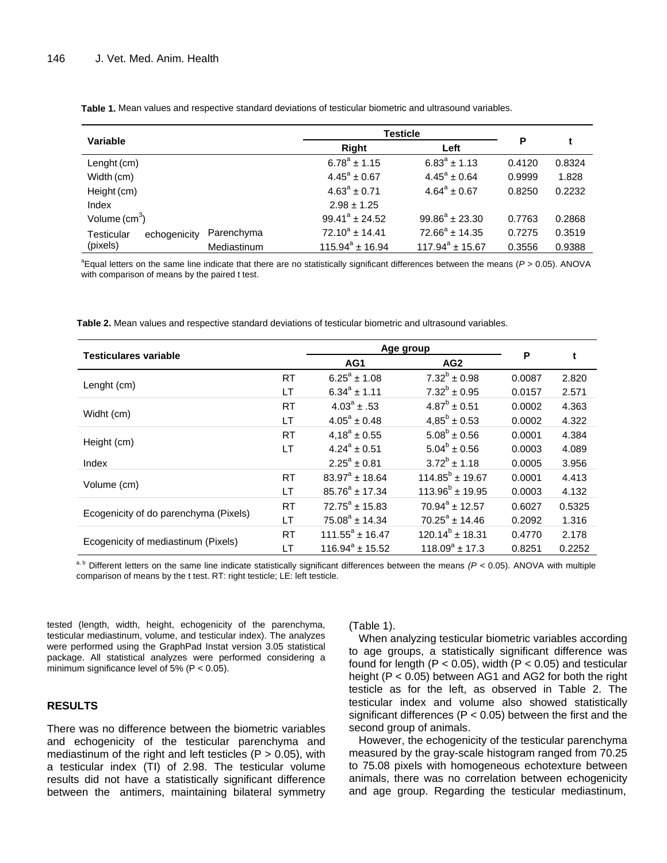| Variable          |              |                     | Testicle                |                     |                         |        |        |
|-------------------|--------------|---------------------|-------------------------|---------------------|-------------------------|--------|--------|
|                   |              |                     | Right                   |                     | Left                    |        |        |
| Lenght (cm)       |              |                     | $6.78^{\circ}$ ± 1.15   |                     | $6.83^{\circ}$ ± 1.13   | 0.4120 | 0.8324 |
| Width (cm)        |              |                     | $4.45^{\circ} \pm 0.67$ |                     | $4.45^{\circ} \pm 0.64$ | 0.9999 | 1.828  |
| Height (cm)       |              |                     | $4.63^a \pm 0.71$       |                     | $4.64^a \pm 0.67$       | 0.8250 | 0.2232 |
| Index             |              |                     | $2.98 \pm 1.25$         |                     |                         |        |        |
| Volume $(cm3)$    |              | $99.41^a \pm 24.52$ |                         | $99.86^a \pm 23.30$ | 0.7763                  | 0.2868 |        |
| <b>Testicular</b> | echogenicity | Parenchyma          | $72.10^a + 14.41$       |                     | $72.66^a \pm 14.35$     | 0.7275 | 0.3519 |
| (pixels)          |              | Mediastinum         | $115.94^a \pm 16.94$    |                     | $117.94^a \pm 15.67$    | 0.3556 | 0.9388 |

**Table 1.** Mean values and respective standard deviations of testicular biometric and ultrasound variables.

a Equal letters on the same line indicate that there are no statistically significant differences between the means (*P* > 0.05). ANOVA with comparison of means by the paired t test.

**Table 2.** Mean values and respective standard deviations of testicular biometric and ultrasound variables.

| <b>Testiculares variable</b>          |           | Age group               |                         |        |        |
|---------------------------------------|-----------|-------------------------|-------------------------|--------|--------|
|                                       |           | AG1                     | AG <sub>2</sub>         | P      | t      |
|                                       | RT        | $6.25^{\circ}$ ± 1.08   | $7.32^b \pm 0.98$       | 0.0087 | 2.820  |
| Lenght (cm)                           | LТ        | $6.34^a \pm 1.11$       | $7.32^b \pm 0.95$       | 0.0157 | 2.571  |
|                                       | <b>RT</b> | $4.03^{\circ}$ ± .53    | $4.87^b \pm 0.51$       | 0.0002 | 4.363  |
| Widht (cm)                            | LТ        | $4.05^a \pm 0.48$       | $4.85^{\circ} \pm 0.53$ | 0.0002 | 4.322  |
|                                       | <b>RT</b> | $4.18^a \pm 0.55$       | $5.08^b \pm 0.56$       | 0.0001 | 4.384  |
| Height (cm)                           | LT        | $4.24^a + 0.51$         | $5.04^b \pm 0.56$       | 0.0003 | 4.089  |
| Index                                 |           | $2.25^a \pm 0.81$       | $3.72^b \pm 1.18$       | 0.0005 | 3.956  |
|                                       | <b>RT</b> | $83.97^a + 18.64$       | $114.85^b \pm 19.67$    | 0.0001 | 4.413  |
| Volume (cm)                           | LT        | $85.76^a \pm 17.34$     | $113.96^{b} \pm 19.95$  | 0.0003 | 4.132  |
|                                       | <b>RT</b> | $72.75^{\circ} + 15.83$ | $70.94^a + 12.57$       | 0.6027 | 0.5325 |
| Ecogenicity of do parenchyma (Pixels) | LT        | $75.08^a \pm 14.34$     | $70.25^a \pm 14.46$     | 0.2092 | 1.316  |
|                                       | <b>RT</b> | $111.55^a \pm 16.47$    | $120.14^b \pm 18.31$    | 0.4770 | 2.178  |
| Ecogenicity of mediastinum (Pixels)   | LТ        | $116.94^a \pm 15.52$    | $118.09^a \pm 17.3$     | 0.8251 | 0.2252 |

a, b Different letters on the same line indicate statistically significant differences between the means (P < 0.05). ANOVA with multiple comparison of means by the t test. RT: right testicle; LE: left testicle.

tested (length, width, height, echogenicity of the parenchyma, testicular mediastinum, volume, and testicular index). The analyzes were performed using the GraphPad Instat version 3.05 statistical package. All statistical analyzes were performed considering a minimum significance level of 5% ( $P < 0.05$ ).

## **RESULTS**

There was no difference between the biometric variables and echogenicity of the testicular parenchyma and mediastinum of the right and left testicles ( $P > 0.05$ ), with a testicular index (TI) of 2.98. The testicular volume results did not have a statistically significant difference between the antimers, maintaining bilateral symmetry

## (Table 1).

When analyzing testicular biometric variables according to age groups, a statistically significant difference was found for length ( $P < 0.05$ ), width ( $P < 0.05$ ) and testicular height (P < 0.05) between AG1 and AG2 for both the right testicle as for the left, as observed in Table 2. The testicular index and volume also showed statistically significant differences ( $P < 0.05$ ) between the first and the second group of animals.

However, the echogenicity of the testicular parenchyma measured by the gray-scale histogram ranged from 70.25 to 75.08 pixels with homogeneous echotexture between animals, there was no correlation between echogenicity and age group. Regarding the testicular mediastinum,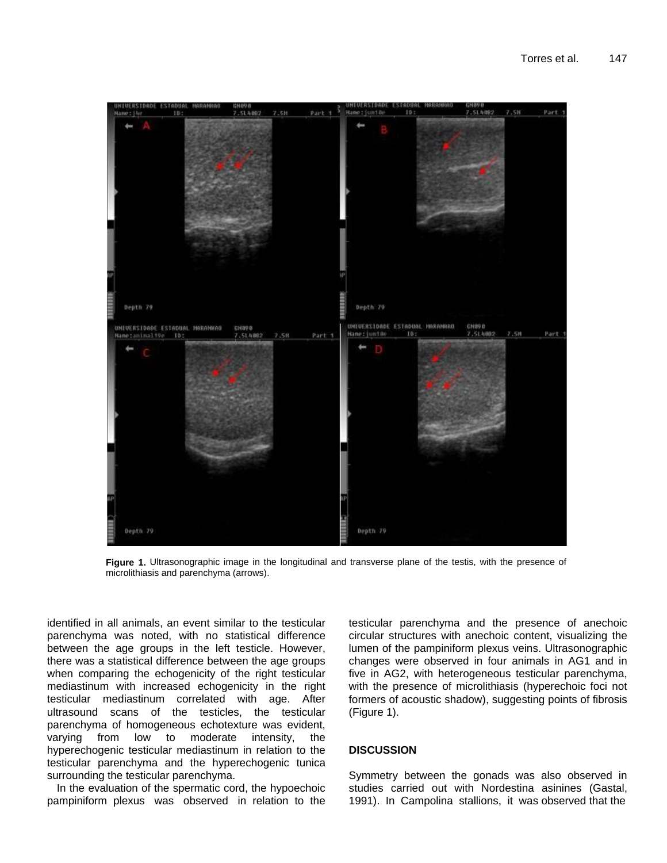

**Figure 1.** Ultrasonographic image in the longitudinal and transverse plane of the testis, with the presence of microlithiasis and parenchyma (arrows).

identified in all animals, an event similar to the testicular parenchyma was noted, with no statistical difference between the age groups in the left testicle. However, there was a statistical difference between the age groups when comparing the echogenicity of the right testicular mediastinum with increased echogenicity in the right testicular mediastinum correlated with age. After ultrasound scans of the testicles, the testicular parenchyma of homogeneous echotexture was evident, varying from low to moderate intensity, the hyperechogenic testicular mediastinum in relation to the testicular parenchyma and the hyperechogenic tunica surrounding the testicular parenchyma.

In the evaluation of the spermatic cord, the hypoechoic pampiniform plexus was observed in relation to the

testicular parenchyma and the presence of anechoic circular structures with anechoic content, visualizing the lumen of the pampiniform plexus veins. Ultrasonographic changes were observed in four animals in AG1 and in five in AG2, with heterogeneous testicular parenchyma, with the presence of microlithiasis (hyperechoic foci not formers of acoustic shadow), suggesting points of fibrosis (Figure 1).

# **DISCUSSION**

Symmetry between the gonads was also observed in studies carried out with Nordestina asinines (Gastal, 1991). In Campolina stallions, it was observed that the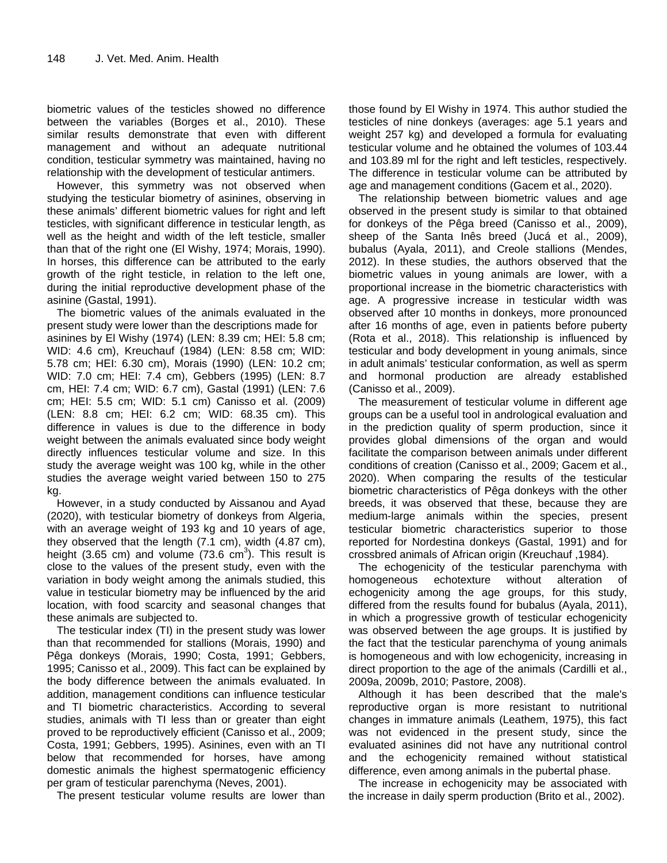biometric values of the testicles showed no difference between the variables (Borges et al., 2010). These similar results demonstrate that even with different management and without an adequate nutritional condition, testicular symmetry was maintained, having no relationship with the development of testicular antimers.

However, this symmetry was not observed when studying the testicular biometry of asinines, observing in these animals' different biometric values for right and left testicles, with significant difference in testicular length, as well as the height and width of the left testicle, smaller than that of the right one (El Wishy, 1974; Morais, 1990). In horses, this difference can be attributed to the early growth of the right testicle, in relation to the left one, during the initial reproductive development phase of the asinine (Gastal, 1991).

The biometric values of the animals evaluated in the present study were lower than the descriptions made for asinines by El Wishy (1974) (LEN: 8.39 cm; HEI: 5.8 cm; WID: 4.6 cm), Kreuchauf (1984) (LEN: 8.58 cm; WID: 5.78 cm; HEI: 6.30 cm), Morais (1990) (LEN: 10.2 cm; WID: 7.0 cm; HEI: 7.4 cm), Gebbers (1995) (LEN: 8.7 cm, HEI: 7.4 cm; WID: 6.7 cm), Gastal (1991) (LEN: 7.6 cm; HEI: 5.5 cm; WID: 5.1 cm) Canisso et al. (2009) (LEN: 8.8 cm; HEI: 6.2 cm; WID: 68.35 cm). This difference in values is due to the difference in body weight between the animals evaluated since body weight directly influences testicular volume and size. In this study the average weight was 100 kg, while in the other studies the average weight varied between 150 to 275 kg.

However, in a study conducted by Aissanou and Ayad (2020), with testicular biometry of donkeys from Algeria, with an average weight of 193 kg and 10 years of age, they observed that the length (7.1 cm), width (4.87 cm), height (3.65 cm) and volume (73.6 cm<sup>3</sup>). This result is close to the values of the present study, even with the variation in body weight among the animals studied, this value in testicular biometry may be influenced by the arid location, with food scarcity and seasonal changes that these animals are subjected to.

The testicular index (TI) in the present study was lower than that recommended for stallions (Morais, 1990) and Pêga donkeys (Morais, 1990; Costa, 1991; Gebbers, 1995; Canisso et al., 2009). This fact can be explained by the body difference between the animals evaluated. In addition, management conditions can influence testicular and TI biometric characteristics. According to several studies, animals with TI less than or greater than eight proved to be reproductively efficient (Canisso et al., 2009; Costa, 1991; Gebbers, 1995). Asinines, even with an TI below that recommended for horses, have among domestic animals the highest spermatogenic efficiency per gram of testicular parenchyma (Neves, 2001).

The present testicular volume results are lower than

those found by El Wishy in 1974. This author studied the testicles of nine donkeys (averages: age 5.1 years and weight 257 kg) and developed a formula for evaluating testicular volume and he obtained the volumes of 103.44 and 103.89 ml for the right and left testicles, respectively. The difference in testicular volume can be attributed by age and management conditions (Gacem et al., 2020).

The relationship between biometric values and age observed in the present study is similar to that obtained for donkeys of the Pêga breed (Canisso et al., 2009), sheep of the Santa Inês breed (Jucá et al., 2009), bubalus (Ayala, 2011), and Creole stallions (Mendes, 2012). In these studies, the authors observed that the biometric values in young animals are lower, with a proportional increase in the biometric characteristics with age. A progressive increase in testicular width was observed after 10 months in donkeys, more pronounced after 16 months of age, even in patients before puberty (Rota et al., 2018). This relationship is influenced by testicular and body development in young animals, since in adult animals' testicular conformation, as well as sperm and hormonal production are already established (Canisso et al., 2009).

The measurement of testicular volume in different age groups can be a useful tool in andrological evaluation and in the prediction quality of sperm production, since it provides global dimensions of the organ and would facilitate the comparison between animals under different conditions of creation (Canisso et al., 2009; Gacem et al., 2020). When comparing the results of the testicular biometric characteristics of Pêga donkeys with the other breeds, it was observed that these, because they are medium-large animals within the species, present testicular biometric characteristics superior to those reported for Nordestina donkeys (Gastal, 1991) and for crossbred animals of African origin (Kreuchauf ,1984).

The echogenicity of the testicular parenchyma with homogeneous echotexture without alteration of echogenicity among the age groups, for this study, differed from the results found for bubalus (Ayala, 2011), in which a progressive growth of testicular echogenicity was observed between the age groups. It is justified by the fact that the testicular parenchyma of young animals is homogeneous and with low echogenicity, increasing in direct proportion to the age of the animals (Cardilli et al., 2009a, 2009b, 2010; Pastore, 2008).

Although it has been described that the male's reproductive organ is more resistant to nutritional changes in immature animals (Leathem, 1975), this fact was not evidenced in the present study, since the evaluated asinines did not have any nutritional control and the echogenicity remained without statistical difference, even among animals in the pubertal phase.

The increase in echogenicity may be associated with the increase in daily sperm production (Brito et al., 2002).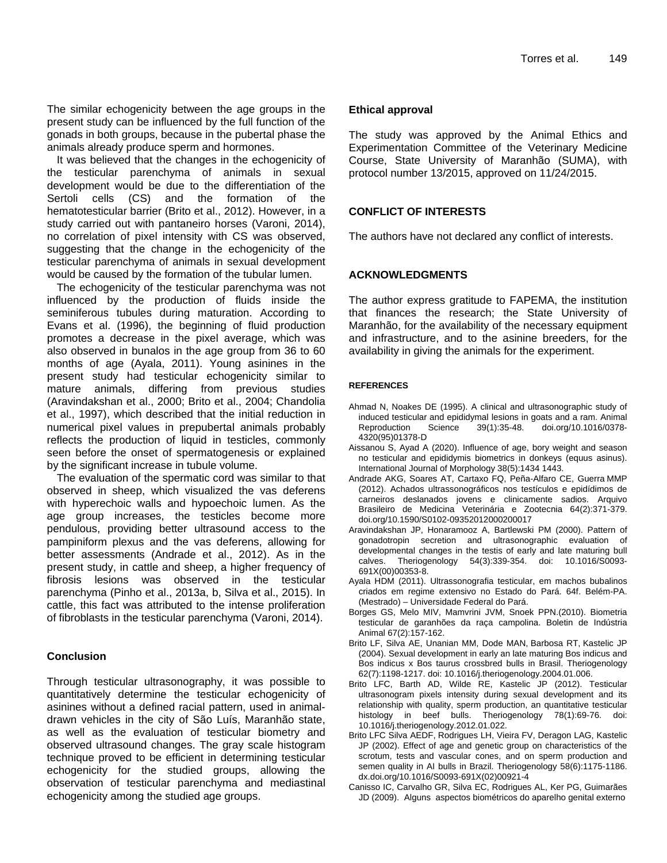The similar echogenicity between the age groups in the present study can be influenced by the full function of the gonads in both groups, because in the pubertal phase the animals already produce sperm and hormones.

It was believed that the changes in the echogenicity of the testicular parenchyma of animals in sexual development would be due to the differentiation of the Sertoli cells (CS) and the formation of the hematotesticular barrier (Brito et al., 2012). However, in a study carried out with pantaneiro horses (Varoni, 2014), no correlation of pixel intensity with CS was observed, suggesting that the change in the echogenicity of the testicular parenchyma of animals in sexual development would be caused by the formation of the tubular lumen.

The echogenicity of the testicular parenchyma was not influenced by the production of fluids inside the seminiferous tubules during maturation. According to Evans et al. (1996), the beginning of fluid production promotes a decrease in the pixel average, which was also observed in bunalos in the age group from 36 to 60 months of age (Ayala, 2011). Young asinines in the present study had testicular echogenicity similar to mature animals, differing from previous studies (Aravindakshan et al., 2000; Brito et al., 2004; Chandolia et al., 1997), which described that the initial reduction in numerical pixel values in prepubertal animals probably reflects the production of liquid in testicles, commonly seen before the onset of spermatogenesis or explained by the significant increase in tubule volume.

The evaluation of the spermatic cord was similar to that observed in sheep, which visualized the vas deferens with hyperechoic walls and hypoechoic lumen. As the age group increases, the testicles become more pendulous, providing better ultrasound access to the pampiniform plexus and the vas deferens, allowing for better assessments (Andrade et al., 2012). As in the present study, in cattle and sheep, a higher frequency of fibrosis lesions was observed in the testicular parenchyma (Pinho et al., 2013a, b, Silva et al., 2015). In cattle, this fact was attributed to the intense proliferation of fibroblasts in the testicular parenchyma (Varoni, 2014).

# **Conclusion**

Through testicular ultrasonography, it was possible to quantitatively determine the testicular echogenicity of asinines without a defined racial pattern, used in animaldrawn vehicles in the city of São Luís, Maranhão state, as well as the evaluation of testicular biometry and observed ultrasound changes. The gray scale histogram technique proved to be efficient in determining testicular echogenicity for the studied groups, allowing the observation of testicular parenchyma and mediastinal echogenicity among the studied age groups.

## **Ethical approval**

The study was approved by the Animal Ethics and Experimentation Committee of the Veterinary Medicine Course, State University of Maranhão (SUMA), with protocol number 13/2015, approved on 11/24/2015.

# **CONFLICT OF INTERESTS**

The authors have not declared any conflict of interests.

# **ACKNOWLEDGMENTS**

The author express gratitude to FAPEMA, the institution that finances the research; the State University of Maranhão, for the availability of the necessary equipment and infrastructure, and to the asinine breeders, for the availability in giving the animals for the experiment.

## **REFERENCES**

- Ahmad N, Noakes DE (1995). A clinical and ultrasonographic study of induced testicular and epididymal lesions in goats and a ram. Animal Reproduction Science 39(1):35-48. [doi.org/10.1016/0378-](https://doi.org/10.1016/0378-4320(95)01378-D) [4320\(95\)01378-D](https://doi.org/10.1016/0378-4320(95)01378-D)
- Aissanou S, Ayad A (2020). Influence of age, bory weight and season no testicular and epididymis biometrics in donkeys (equus asinus). International Journal of Morphology 38(5):1434 1443.
- Andrade AKG, Soares AT, Cartaxo FQ, Peña-Alfaro CE, Guerra MMP (2012). Achados ultrassonográficos nos testículos e epidídimos de carneiros deslanados jovens e clinicamente sadios. Arquivo Brasileiro de Medicina Veterinária e Zootecnia 64(2):371-379. doi.org/10.1590/S0102-09352012000200017
- Aravindakshan JP, Honaramooz A, Bartlewski PM (2000). Pattern of gonadotropin secretion and ultrasonographic evaluation of developmental changes in the testis of early and late maturing bull calves. Theriogenology 54(3):339-354. doi: 10.1016/S0093- 691X(00)00353-8.
- Ayala HDM (2011). Ultrassonografia testicular, em machos bubalinos criados em regime extensivo no Estado do Pará. 64f. Belém-PA. (Mestrado) – Universidade Federal do Pará.
- Borges GS, Melo MIV, Mamvrini JVM, Snoek PPN.(2010). Biometria testicular de garanhões da raça campolina. Boletin de Indústria Animal 67(2):157-162.
- Brito LF, Silva AE, Unanian MM, Dode MAN, Barbosa RT, Kastelic JP (2004). Sexual development in early an late maturing Bos indicus and Bos indicus x Bos taurus crossbred bulls in Brasil. Theriogenology 62(7):1198-1217. doi: 10.1016/j.theriogenology.2004.01.006.
- Brito LFC, Barth AD, Wilde RE, Kastelic JP (2012). Testicular ultrasonogram pixels intensity during sexual development and its relationship with quality, sperm production, an quantitative testicular histology in beef bulls. Theriogenology 78(1):69-76. doi: 10.1016/j.theriogenology.2012.01.022.
- Brito LFC Silva AEDF, Rodrigues LH, Vieira FV, Deragon LAG, Kastelic JP (2002). Effect of age and genetic group on characteristics of the scrotum, tests and vascular cones, and on sperm production and semen quality in AI bulls in Brazil. Theriogenology 58(6):1175-1186. [dx.doi.org/10.1016/S0093-691X\(02\)00921-4](http://dx.doi.org/10.1016/S0093-691X(02)00921-4)
- Canisso IC, Carvalho GR, Silva EC, Rodrigues AL, Ker PG, Guimarães JD (2009). Alguns aspectos biométricos do aparelho genital externo